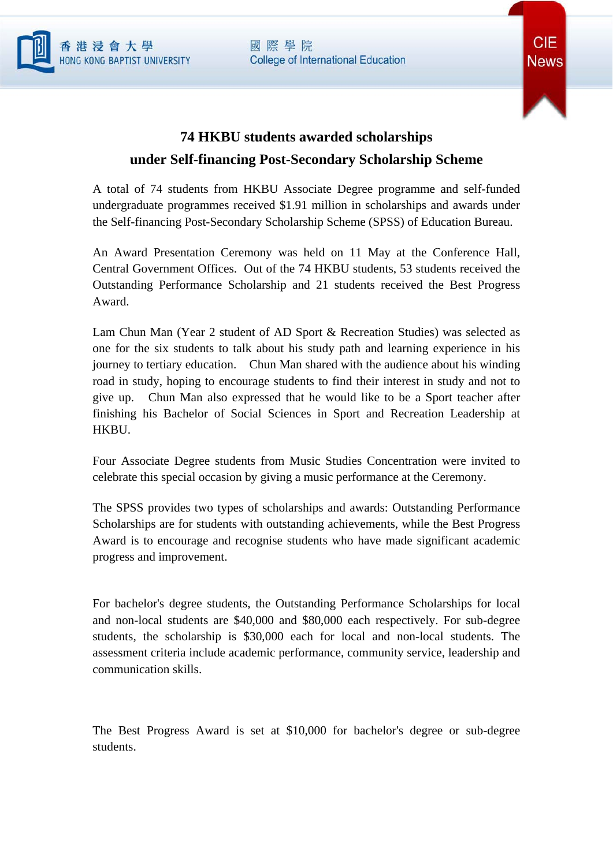國際學院 **College of International Education** 





## **74 HKBU students awarded scholarships under Self-financing Post-Secondary Scholarship Scheme**

A total of 74 students from HKBU Associate Degree programme and self-funded undergraduate programmes received \$1.91 million in scholarships and awards under the Self-financing Post-Secondary Scholarship Scheme (SPSS) of Education Bureau.

An Award Presentation Ceremony was held on 11 May at the Conference Hall, Central Government Offices. Out of the 74 HKBU students, 53 students received the Outstanding Performance Scholarship and 21 students received the Best Progress Award.

Lam Chun Man (Year 2 student of AD Sport & Recreation Studies) was selected as one for the six students to talk about his study path and learning experience in his journey to tertiary education. Chun Man shared with the audience about his winding road in study, hoping to encourage students to find their interest in study and not to give up. Chun Man also expressed that he would like to be a Sport teacher after finishing his Bachelor of Social Sciences in Sport and Recreation Leadership at HKBU.

Four Associate Degree students from Music Studies Concentration were invited to celebrate this special occasion by giving a music performance at the Ceremony.

The SPSS provides two types of scholarships and awards: Outstanding Performance Scholarships are for students with outstanding achievements, while the Best Progress Award is to encourage and recognise students who have made significant academic progress and improvement.

For bachelor's degree students, the Outstanding Performance Scholarships for local and non-local students are \$40,000 and \$80,000 each respectively. For sub-degree students, the scholarship is \$30,000 each for local and non-local students. The assessment criteria include academic performance, community service, leadership and communication skills.

The Best Progress Award is set at \$10,000 for bachelor's degree or sub-degree students.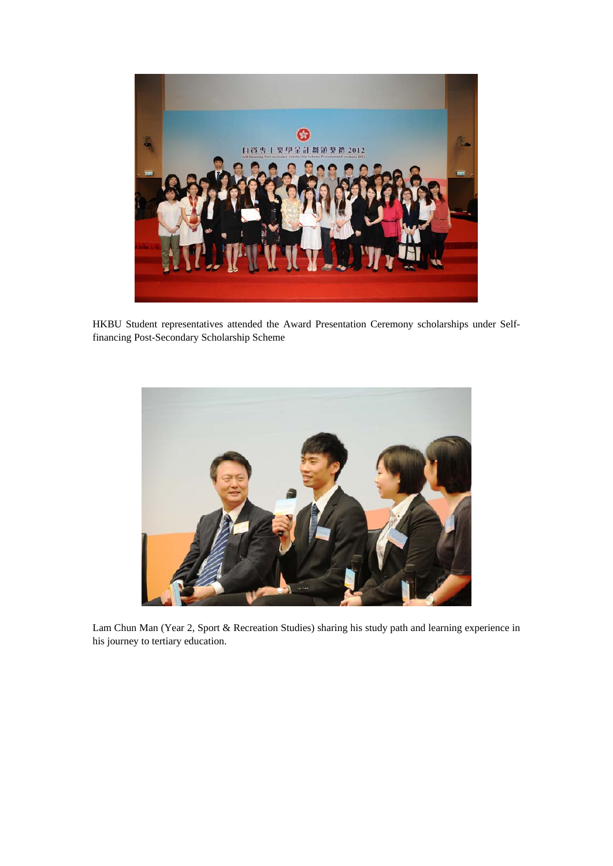

HKBU Student representatives attended the Award Presentation Ceremony scholarships under Selffinancing Post-Secondary Scholarship Scheme



Lam Chun Man (Year 2, Sport & Recreation Studies) sharing his study path and learning experience in his journey to tertiary education.